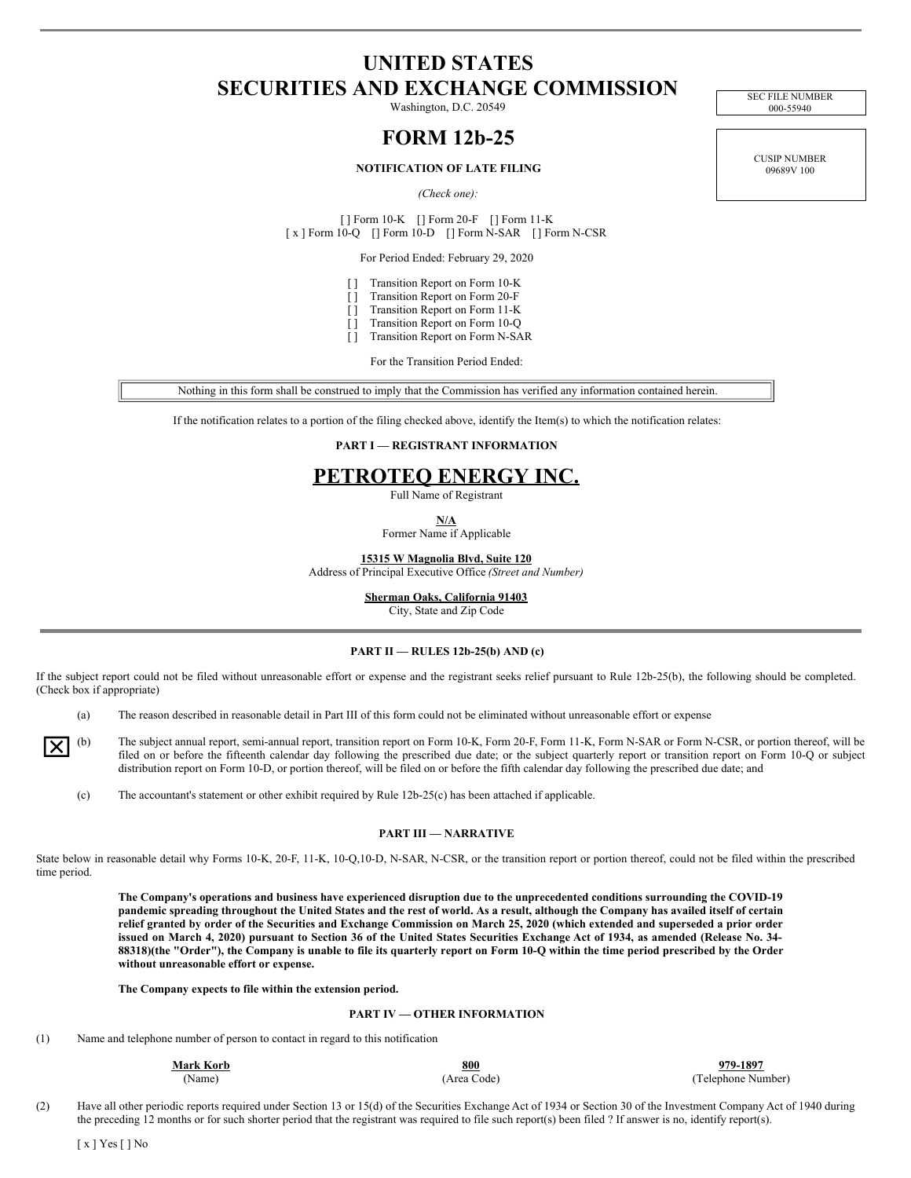# **UNITED STATES SECURITIES AND EXCHANGE COMMISSION**

Washington, D.C. 20549

# **FORM 12b-25**

### **NOTIFICATION OF LATE FILING**

*(Check one):*

[ ] Form 10-K [] Form 20-F [] Form 11-K [ x ] Form 10-Q [] Form 10-D [] Form N-SAR [] Form N-CSR

For Period Ended: February 29, 2020

- [ ] Transition Report on Form 10-K
- [ ] Transition Report on Form 20-F
- [ ] Transition Report on Form 11-K
- [ ] Transition Report on Form 10-Q
- [ ] Transition Report on Form N-SAR

For the Transition Period Ended:

Nothing in this form shall be construed to imply that the Commission has verified any information contained herein.

If the notification relates to a portion of the filing checked above, identify the Item(s) to which the notification relates:

### **PART I — REGISTRANT INFORMATION**

## **PETROTEQ ENERGY INC.**

Full Name of Registrant

**N/A**

Former Name if Applicable

**15315 W Magnolia Blvd, Suite 120**

Address of Principal Executive Office *(Street and Number)*

**Sherman Oaks, California 91403**

City, State and Zip Code

### **PART II — RULES 12b-25(b) AND (c)**

If the subject report could not be filed without unreasonable effort or expense and the registrant seeks relief pursuant to Rule 12b-25(b), the following should be completed. (Check box if appropriate)

(a) The reason described in reasonable detail in Part III of this form could not be eliminated without unreasonable effort or expense



The subject annual report, semi-annual report, transition report on Form 10-K, Form 20-F, Form 11-K, Form N-SAR or Form N-CSR, or portion thereof, will be filed on or before the fifteenth calendar day following the prescribed due date; or the subject quarterly report or transition report on Form 10-Q or subject distribution report on Form 10-D, or portion thereof, will be filed on or before the fifth calendar day following the prescribed due date; and

(c) The accountant's statement or other exhibit required by Rule 12b-25(c) has been attached if applicable.

### **PART III — NARRATIVE**

State below in reasonable detail why Forms 10-K, 20-F, 11-K, 10-Q,10-D, N-SAR, N-CSR, or the transition report or portion thereof, could not be filed within the prescribed time period.

The Company's operations and business have experienced disruption due to the unprecedented conditions surrounding the COVID-19 pandemic spreading throughout the United States and the rest of world. As a result, although the Company has availed itself of certain relief granted by order of the Securities and Exchange Commission on March 25, 2020 (which extended and superseded a prior order issued on March 4, 2020) pursuant to Section 36 of the United States Securities Exchange Act of 1934, as amended (Release No. 34-88318)(the "Order"), the Company is unable to file its quarterly report on Form 10-Q within the time period prescribed by the Order **without unreasonable effort or expense.**

**The Company expects to file within the extension period.**

### **PART IV — OTHER INFORMATION**

(1) Name and telephone number of person to contact in regard to this notification

| <b>Mark Korb</b> | 800         | 979-1897           |
|------------------|-------------|--------------------|
| Name)            | (Area Code) | (Telephone Number) |

(2) Have all other periodic reports required under Section 13 or 15(d) of the Securities Exchange Act of 1934 or Section 30 of the Investment Company Act of 1940 during the preceding 12 months or for such shorter period that the registrant was required to file such report(s) been filed ? If answer is no, identify report(s).

CUSIP NUMBER 09689V 100

SEC FILE NUMBER 000-55940